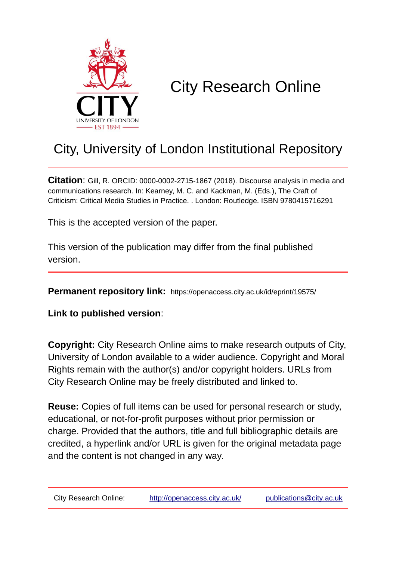

# City Research Online

# City, University of London Institutional Repository

**Citation**: Gill, R. ORCID: 0000-0002-2715-1867 (2018). Discourse analysis in media and communications research. In: Kearney, M. C. and Kackman, M. (Eds.), The Craft of Criticism: Critical Media Studies in Practice. . London: Routledge. ISBN 9780415716291

This is the accepted version of the paper.

This version of the publication may differ from the final published version.

**Permanent repository link:** https://openaccess.city.ac.uk/id/eprint/19575/

**Link to published version**:

**Copyright:** City Research Online aims to make research outputs of City, University of London available to a wider audience. Copyright and Moral Rights remain with the author(s) and/or copyright holders. URLs from City Research Online may be freely distributed and linked to.

**Reuse:** Copies of full items can be used for personal research or study, educational, or not-for-profit purposes without prior permission or charge. Provided that the authors, title and full bibliographic details are credited, a hyperlink and/or URL is given for the original metadata page and the content is not changed in any way.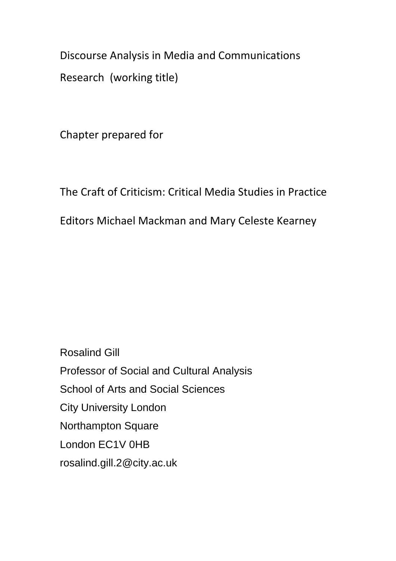Discourse Analysis in Media and Communications Research (working title)

Chapter prepared for

The Craft of Criticism: Critical Media Studies in Practice Editors Michael Mackman and Mary Celeste Kearney

Rosalind Gill Professor of Social and Cultural Analysis School of Arts and Social Sciences City University London Northampton Square London EC1V 0HB rosalind.gill.2@city.ac.uk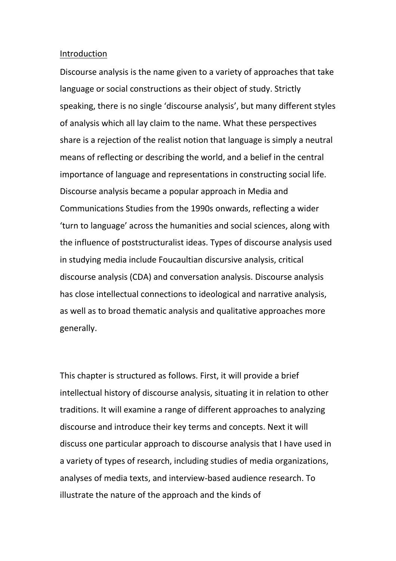#### Introduction

Discourse analysis is the name given to a variety of approaches that take language or social constructions as their object of study. Strictly speaking, there is no single 'discourse analysis', but many different styles of analysis which all lay claim to the name. What these perspectives share is a rejection of the realist notion that language is simply a neutral means of reflecting or describing the world, and a belief in the central importance of language and representations in constructing social life. Discourse analysis became a popular approach in Media and Communications Studies from the 1990s onwards, reflecting a wider 'turn to language' across the humanities and social sciences, along with the influence of poststructuralist ideas. Types of discourse analysis used in studying media include Foucaultian discursive analysis, critical discourse analysis (CDA) and conversation analysis. Discourse analysis has close intellectual connections to ideological and narrative analysis, as well as to broad thematic analysis and qualitative approaches more generally.

This chapter is structured as follows. First, it will provide a brief intellectual history of discourse analysis, situating it in relation to other traditions. It will examine a range of different approaches to analyzing discourse and introduce their key terms and concepts. Next it will discuss one particular approach to discourse analysis that I have used in a variety of types of research, including studies of media organizations, analyses of media texts, and interview-based audience research. To illustrate the nature of the approach and the kinds of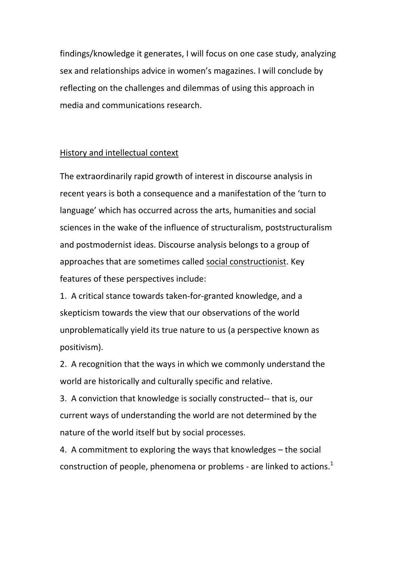findings/knowledge it generates, I will focus on one case study, analyzing sex and relationships advice in women's magazines. I will conclude by reflecting on the challenges and dilemmas of using this approach in media and communications research.

## History and intellectual context

The extraordinarily rapid growth of interest in discourse analysis in recent years is both a consequence and a manifestation of the 'turn to language' which has occurred across the arts, humanities and social sciences in the wake of the influence of structuralism, poststructuralism and postmodernist ideas. Discourse analysis belongs to a group of approaches that are sometimes called social constructionist. Key features of these perspectives include:

1. A critical stance towards taken-for-granted knowledge, and a skepticism towards the view that our observations of the world unproblematically yield its true nature to us (a perspective known as positivism).

2. A recognition that the ways in which we commonly understand the world are historically and culturally specific and relative.

3. A conviction that knowledge is socially constructed-- that is, our current ways of understanding the world are not determined by the nature of the world itself but by social processes.

4. A commitment to exploring the ways that knowledges – the social construction of people, phenomena or problems - are linked to actions.<sup>1</sup>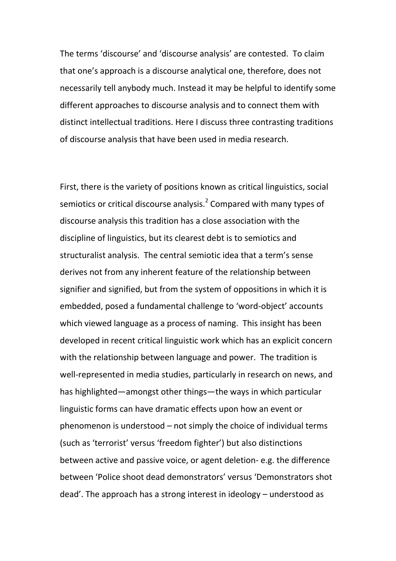The terms 'discourse' and 'discourse analysis' are contested. To claim that one's approach is a discourse analytical one, therefore, does not necessarily tell anybody much. Instead it may be helpful to identify some different approaches to discourse analysis and to connect them with distinct intellectual traditions. Here I discuss three contrasting traditions of discourse analysis that have been used in media research.

First, there is the variety of positions known as critical linguistics, social semiotics or critical discourse analysis.<sup>2</sup> Compared with many types of discourse analysis this tradition has a close association with the discipline of linguistics, but its clearest debt is to semiotics and structuralist analysis. The central semiotic idea that a term's sense derives not from any inherent feature of the relationship between signifier and signified, but from the system of oppositions in which it is embedded, posed a fundamental challenge to 'word-object' accounts which viewed language as a process of naming. This insight has been developed in recent critical linguistic work which has an explicit concern with the relationship between language and power. The tradition is well-represented in media studies, particularly in research on news, and has highlighted—amongst other things—the ways in which particular linguistic forms can have dramatic effects upon how an event or phenomenon is understood – not simply the choice of individual terms (such as 'terrorist' versus 'freedom fighter') but also distinctions between active and passive voice, or agent deletion- e.g. the difference between 'Police shoot dead demonstrators' versus 'Demonstrators shot dead'. The approach has a strong interest in ideology – understood as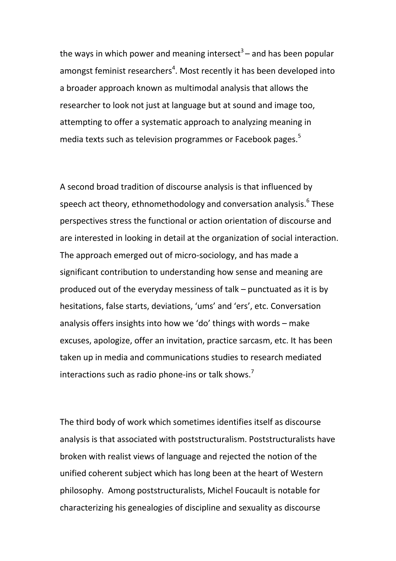the ways in which power and meaning intersect<sup>3</sup> – and has been popular amongst feminist researchers<sup>4</sup>. Most recently it has been developed into a broader approach known as multimodal analysis that allows the researcher to look not just at language but at sound and image too, attempting to offer a systematic approach to analyzing meaning in media texts such as television programmes or Facebook pages.<sup>5</sup>

A second broad tradition of discourse analysis is that influenced by speech act theory, ethnomethodology and conversation analysis.<sup>6</sup> These perspectives stress the functional or action orientation of discourse and are interested in looking in detail at the organization of social interaction. The approach emerged out of micro-sociology, and has made a significant contribution to understanding how sense and meaning are produced out of the everyday messiness of talk – punctuated as it is by hesitations, false starts, deviations, 'ums' and 'ers', etc. Conversation analysis offers insights into how we 'do' things with words – make excuses, apologize, offer an invitation, practice sarcasm, etc. It has been taken up in media and communications studies to research mediated interactions such as radio phone-ins or talk shows.<sup>7</sup>

The third body of work which sometimes identifies itself as discourse analysis is that associated with poststructuralism. Poststructuralists have broken with realist views of language and rejected the notion of the unified coherent subject which has long been at the heart of Western philosophy. Among poststructuralists, Michel Foucault is notable for characterizing his genealogies of discipline and sexuality as discourse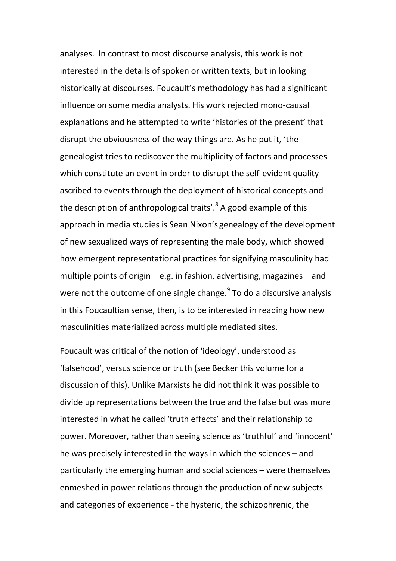analyses. In contrast to most discourse analysis, this work is not interested in the details of spoken or written texts, but in looking historically at discourses. Foucault's methodology has had a significant influence on some media analysts. His work rejected mono-causal explanations and he attempted to write 'histories of the present' that disrupt the obviousness of the way things are. As he put it, 'the genealogist tries to rediscover the multiplicity of factors and processes which constitute an event in order to disrupt the self-evident quality ascribed to events through the deployment of historical concepts and the description of anthropological traits'.<sup>8</sup> A good example of this approach in media studies is Sean Nixon's genealogy of the development of new sexualized ways of representing the male body, which showed how emergent representational practices for signifying masculinity had multiple points of origin – e.g. in fashion, advertising, magazines – and were not the outcome of one single change.<sup>9</sup> To do a discursive analysis in this Foucaultian sense, then, is to be interested in reading how new masculinities materialized across multiple mediated sites.

Foucault was critical of the notion of 'ideology', understood as 'falsehood', versus science or truth (see Becker this volume for a discussion of this). Unlike Marxists he did not think it was possible to divide up representations between the true and the false but was more interested in what he called 'truth effects' and their relationship to power. Moreover, rather than seeing science as 'truthful' and 'innocent' he was precisely interested in the ways in which the sciences – and particularly the emerging human and social sciences – were themselves enmeshed in power relations through the production of new subjects and categories of experience - the hysteric, the schizophrenic, the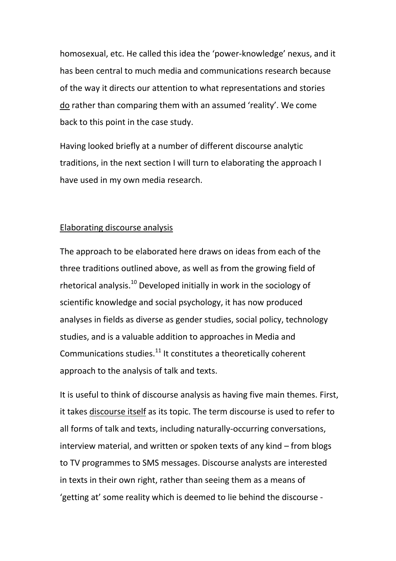homosexual, etc. He called this idea the 'power-knowledge' nexus, and it has been central to much media and communications research because of the way it directs our attention to what representations and stories do rather than comparing them with an assumed 'reality'. We come back to this point in the case study.

Having looked briefly at a number of different discourse analytic traditions, in the next section I will turn to elaborating the approach I have used in my own media research.

#### Elaborating discourse analysis

The approach to be elaborated here draws on ideas from each of the three traditions outlined above, as well as from the growing field of rhetorical analysis.<sup>10</sup> Developed initially in work in the sociology of scientific knowledge and social psychology, it has now produced analyses in fields as diverse as gender studies, social policy, technology studies, and is a valuable addition to approaches in Media and Communications studies. $11$  It constitutes a theoretically coherent approach to the analysis of talk and texts.

It is useful to think of discourse analysis as having five main themes. First, it takes discourse itself as its topic. The term discourse is used to refer to all forms of talk and texts, including naturally-occurring conversations, interview material, and written or spoken texts of any kind – from blogs to TV programmes to SMS messages. Discourse analysts are interested in texts in their own right, rather than seeing them as a means of 'getting at' some reality which is deemed to lie behind the discourse -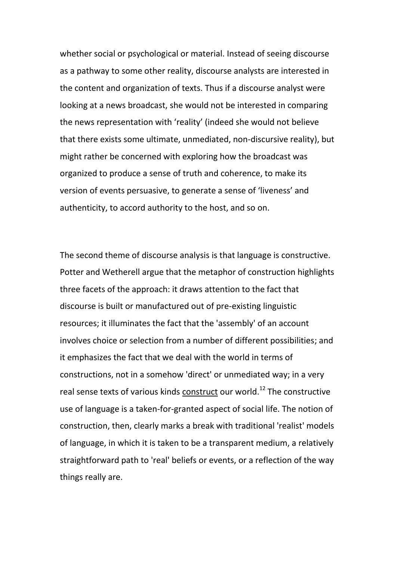whether social or psychological or material. Instead of seeing discourse as a pathway to some other reality, discourse analysts are interested in the content and organization of texts. Thus if a discourse analyst were looking at a news broadcast, she would not be interested in comparing the news representation with 'reality' (indeed she would not believe that there exists some ultimate, unmediated, non-discursive reality), but might rather be concerned with exploring how the broadcast was organized to produce a sense of truth and coherence, to make its version of events persuasive, to generate a sense of 'liveness' and authenticity, to accord authority to the host, and so on.

The second theme of discourse analysis is that language is constructive. Potter and Wetherell argue that the metaphor of construction highlights three facets of the approach: it draws attention to the fact that discourse is built or manufactured out of pre-existing linguistic resources; it illuminates the fact that the 'assembly' of an account involves choice or selection from a number of different possibilities; and it emphasizes the fact that we deal with the world in terms of constructions, not in a somehow 'direct' or unmediated way; in a very real sense texts of various kinds construct our world.<sup>12</sup> The constructive use of language is a taken-for-granted aspect of social life. The notion of construction, then, clearly marks a break with traditional 'realist' models of language, in which it is taken to be a transparent medium, a relatively straightforward path to 'real' beliefs or events, or a reflection of the way things really are.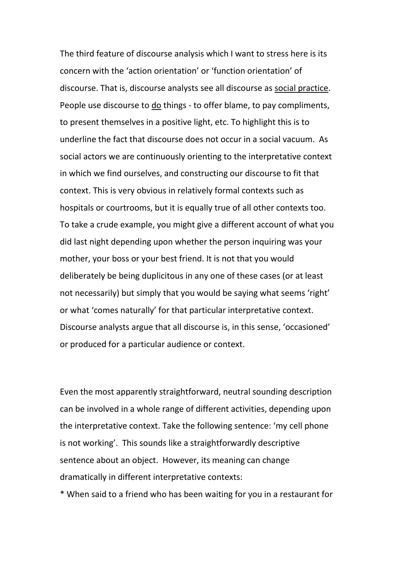The third feature of discourse analysis which I want to stress here is its concern with the 'action orientation' or 'function orientation' of discourse. That is, discourse analysts see all discourse as social practice. People use discourse to do things - to offer blame, to pay compliments, to present themselves in a positive light, etc. To highlight this is to underline the fact that discourse does not occur in a social vacuum. As social actors we are continuously orienting to the interpretative context in which we find ourselves, and constructing our discourse to fit that context. This is very obvious in relatively formal contexts such as hospitals or courtrooms, but it is equally true of all other contexts too. To take a crude example, you might give a different account of what you did last night depending upon whether the person inquiring was your mother, your boss or your best friend. It is not that you would deliberately be being duplicitous in any one of these cases (or at least not necessarily) but simply that you would be saying what seems 'right' or what 'comes naturally' for that particular interpretative context. Discourse analysts argue that all discourse is, in this sense, 'occasioned' or produced for a particular audience or context.

Even the most apparently straightforward, neutral sounding description can be involved in a whole range of different activities, depending upon the interpretative context. Take the following sentence: 'my cell phone is not working'. This sounds like a straightforwardly descriptive sentence about an object. However, its meaning can change dramatically in different interpretative contexts:

\* When said to a friend who has been waiting for you in a restaurant for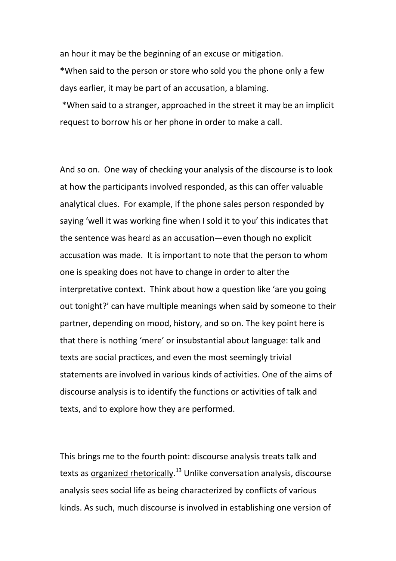an hour it may be the beginning of an excuse or mitigation.

**\***When said to the person or store who sold you the phone only a few days earlier, it may be part of an accusation, a blaming.

\*When said to a stranger, approached in the street it may be an implicit request to borrow his or her phone in order to make a call.

And so on. One way of checking your analysis of the discourse is to look at how the participants involved responded, as this can offer valuable analytical clues. For example, if the phone sales person responded by saying 'well it was working fine when I sold it to you' this indicates that the sentence was heard as an accusation—even though no explicit accusation was made. It is important to note that the person to whom one is speaking does not have to change in order to alter the interpretative context. Think about how a question like 'are you going out tonight?' can have multiple meanings when said by someone to their partner, depending on mood, history, and so on. The key point here is that there is nothing 'mere' or insubstantial about language: talk and texts are social practices, and even the most seemingly trivial statements are involved in various kinds of activities. One of the aims of discourse analysis is to identify the functions or activities of talk and texts, and to explore how they are performed.

This brings me to the fourth point: discourse analysis treats talk and texts as <u>organized rhetorically</u>.<sup>13</sup> Unlike conversation analysis, discourse analysis sees social life as being characterized by conflicts of various kinds. As such, much discourse is involved in establishing one version of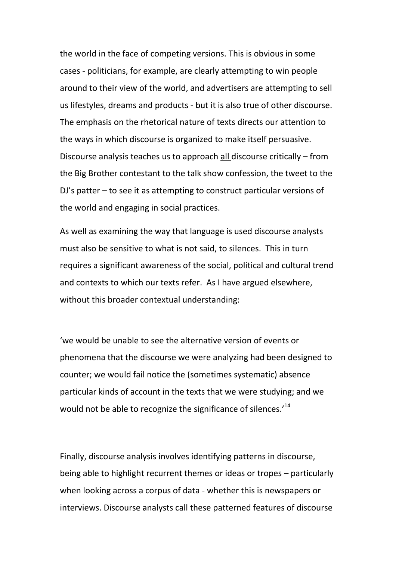the world in the face of competing versions. This is obvious in some cases - politicians, for example, are clearly attempting to win people around to their view of the world, and advertisers are attempting to sell us lifestyles, dreams and products - but it is also true of other discourse. The emphasis on the rhetorical nature of texts directs our attention to the ways in which discourse is organized to make itself persuasive. Discourse analysis teaches us to approach all discourse critically – from the Big Brother contestant to the talk show confession, the tweet to the DJ's patter – to see it as attempting to construct particular versions of the world and engaging in social practices.

As well as examining the way that language is used discourse analysts must also be sensitive to what is not said, to silences. This in turn requires a significant awareness of the social, political and cultural trend and contexts to which our texts refer. As I have argued elsewhere, without this broader contextual understanding:

'we would be unable to see the alternative version of events or phenomena that the discourse we were analyzing had been designed to counter; we would fail notice the (sometimes systematic) absence particular kinds of account in the texts that we were studying; and we would not be able to recognize the significance of silences.' $^{14}$ 

Finally, discourse analysis involves identifying patterns in discourse, being able to highlight recurrent themes or ideas or tropes – particularly when looking across a corpus of data - whether this is newspapers or interviews. Discourse analysts call these patterned features of discourse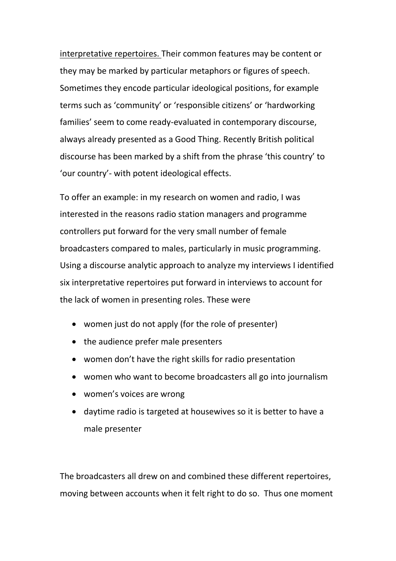interpretative repertoires. Their common features may be content or they may be marked by particular metaphors or figures of speech. Sometimes they encode particular ideological positions, for example terms such as 'community' or 'responsible citizens' or 'hardworking families' seem to come ready-evaluated in contemporary discourse, always already presented as a Good Thing. Recently British political discourse has been marked by a shift from the phrase 'this country' to 'our country'- with potent ideological effects.

To offer an example: in my research on women and radio, I was interested in the reasons radio station managers and programme controllers put forward for the very small number of female broadcasters compared to males, particularly in music programming. Using a discourse analytic approach to analyze my interviews I identified six interpretative repertoires put forward in interviews to account for the lack of women in presenting roles. These were

- women just do not apply (for the role of presenter)
- the audience prefer male presenters
- women don't have the right skills for radio presentation
- women who want to become broadcasters all go into journalism
- women's voices are wrong
- daytime radio is targeted at housewives so it is better to have a male presenter

The broadcasters all drew on and combined these different repertoires, moving between accounts when it felt right to do so. Thus one moment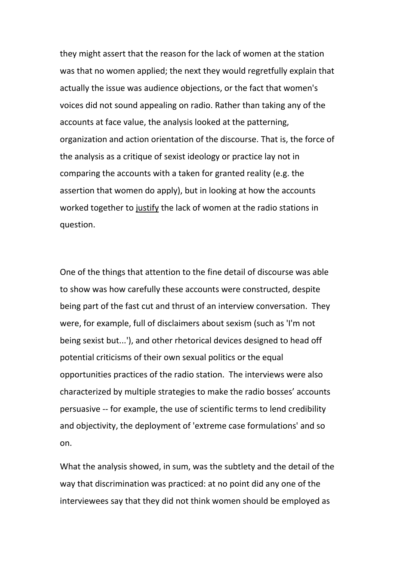they might assert that the reason for the lack of women at the station was that no women applied; the next they would regretfully explain that actually the issue was audience objections, or the fact that women's voices did not sound appealing on radio. Rather than taking any of the accounts at face value, the analysis looked at the patterning, organization and action orientation of the discourse. That is, the force of the analysis as a critique of sexist ideology or practice lay not in comparing the accounts with a taken for granted reality (e.g. the assertion that women do apply), but in looking at how the accounts worked together to justify the lack of women at the radio stations in question.

One of the things that attention to the fine detail of discourse was able to show was how carefully these accounts were constructed, despite being part of the fast cut and thrust of an interview conversation. They were, for example, full of disclaimers about sexism (such as 'I'm not being sexist but...'), and other rhetorical devices designed to head off potential criticisms of their own sexual politics or the equal opportunities practices of the radio station. The interviews were also characterized by multiple strategies to make the radio bosses' accounts persuasive -- for example, the use of scientific terms to lend credibility and objectivity, the deployment of 'extreme case formulations' and so on.

What the analysis showed, in sum, was the subtlety and the detail of the way that discrimination was practiced: at no point did any one of the interviewees say that they did not think women should be employed as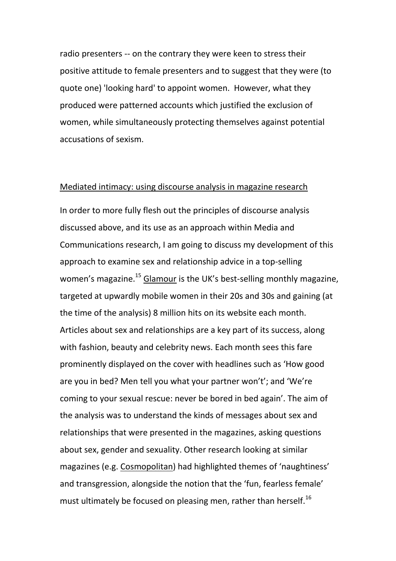radio presenters -- on the contrary they were keen to stress their positive attitude to female presenters and to suggest that they were (to quote one) 'looking hard' to appoint women. However, what they produced were patterned accounts which justified the exclusion of women, while simultaneously protecting themselves against potential accusations of sexism.

#### Mediated intimacy: using discourse analysis in magazine research

In order to more fully flesh out the principles of discourse analysis discussed above, and its use as an approach within Media and Communications research, I am going to discuss my development of this approach to examine sex and relationship advice in a top-selling women's magazine.<sup>15</sup> Glamour is the UK's best-selling monthly magazine, targeted at upwardly mobile women in their 20s and 30s and gaining (at the time of the analysis) 8 million hits on its website each month. Articles about sex and relationships are a key part of its success, along with fashion, beauty and celebrity news. Each month sees this fare prominently displayed on the cover with headlines such as 'How good are you in bed? Men tell you what your partner won't'; and 'We're coming to your sexual rescue: never be bored in bed again'. The aim of the analysis was to understand the kinds of messages about sex and relationships that were presented in the magazines, asking questions about sex, gender and sexuality. Other research looking at similar magazines (e.g. Cosmopolitan) had highlighted themes of 'naughtiness' and transgression, alongside the notion that the 'fun, fearless female' must ultimately be focused on pleasing men, rather than herself.<sup>16</sup>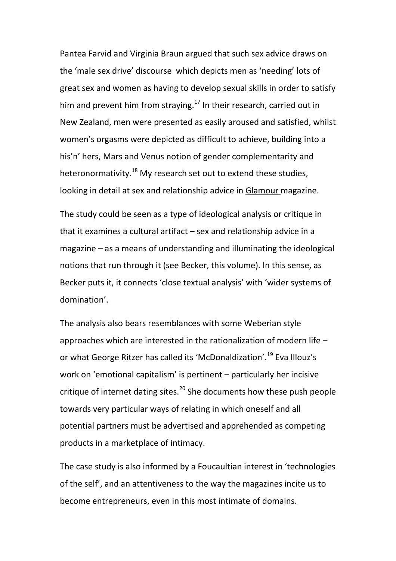Pantea Farvid and Virginia Braun argued that such sex advice draws on the 'male sex drive' discourse which depicts men as 'needing' lots of great sex and women as having to develop sexual skills in order to satisfy him and prevent him from straying.<sup>17</sup> In their research, carried out in New Zealand, men were presented as easily aroused and satisfied, whilst women's orgasms were depicted as difficult to achieve, building into a his'n' hers, Mars and Venus notion of gender complementarity and heteronormativity.<sup>18</sup> My research set out to extend these studies, looking in detail at sex and relationship advice in Glamour magazine.

The study could be seen as a type of ideological analysis or critique in that it examines a cultural artifact – sex and relationship advice in a magazine – as a means of understanding and illuminating the ideological notions that run through it (see Becker, this volume). In this sense, as Becker puts it, it connects 'close textual analysis' with 'wider systems of domination'.

The analysis also bears resemblances with some Weberian style approaches which are interested in the rationalization of modern life – or what George Ritzer has called its 'McDonaldization'.<sup>19</sup> Eva Illouz's work on 'emotional capitalism' is pertinent – particularly her incisive critique of internet dating sites.<sup>20</sup> She documents how these push people towards very particular ways of relating in which oneself and all potential partners must be advertised and apprehended as competing products in a marketplace of intimacy.

The case study is also informed by a Foucaultian interest in 'technologies of the self', and an attentiveness to the way the magazines incite us to become entrepreneurs, even in this most intimate of domains.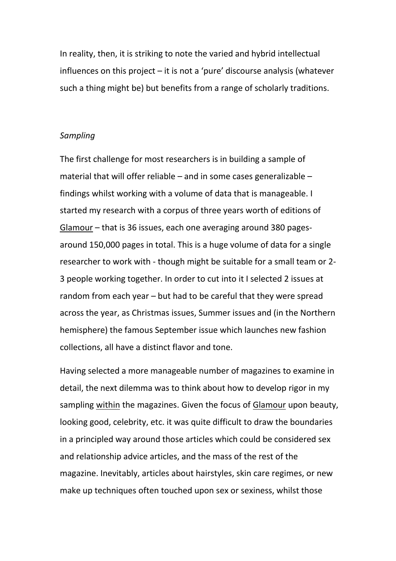In reality, then, it is striking to note the varied and hybrid intellectual influences on this project – it is not a 'pure' discourse analysis (whatever such a thing might be) but benefits from a range of scholarly traditions.

#### *Sampling*

The first challenge for most researchers is in building a sample of material that will offer reliable – and in some cases generalizable – findings whilst working with a volume of data that is manageable. I started my research with a corpus of three years worth of editions of Glamour – that is 36 issues, each one averaging around 380 pagesaround 150,000 pages in total. This is a huge volume of data for a single researcher to work with - though might be suitable for a small team or 2- 3 people working together. In order to cut into it I selected 2 issues at random from each year – but had to be careful that they were spread across the year, as Christmas issues, Summer issues and (in the Northern hemisphere) the famous September issue which launches new fashion collections, all have a distinct flavor and tone.

Having selected a more manageable number of magazines to examine in detail, the next dilemma was to think about how to develop rigor in my sampling within the magazines. Given the focus of Glamour upon beauty, looking good, celebrity, etc. it was quite difficult to draw the boundaries in a principled way around those articles which could be considered sex and relationship advice articles, and the mass of the rest of the magazine. Inevitably, articles about hairstyles, skin care regimes, or new make up techniques often touched upon sex or sexiness, whilst those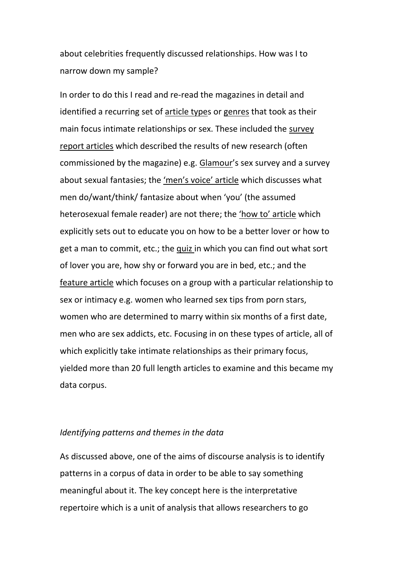about celebrities frequently discussed relationships. How was I to narrow down my sample?

In order to do this I read and re-read the magazines in detail and identified a recurring set of article types or genres that took as their main focus intimate relationships or sex. These included the survey report articles which described the results of new research (often commissioned by the magazine) e.g. Glamour's sex survey and a survey about sexual fantasies; the 'men's voice' article which discusses what men do/want/think/ fantasize about when 'you' (the assumed heterosexual female reader) are not there; the 'how to' article which explicitly sets out to educate you on how to be a better lover or how to get a man to commit, etc.; the quiz in which you can find out what sort of lover you are, how shy or forward you are in bed, etc.; and the feature article which focuses on a group with a particular relationship to sex or intimacy e.g. women who learned sex tips from porn stars, women who are determined to marry within six months of a first date, men who are sex addicts, etc. Focusing in on these types of article, all of which explicitly take intimate relationships as their primary focus, yielded more than 20 full length articles to examine and this became my data corpus.

#### *Identifying patterns and themes in the data*

As discussed above, one of the aims of discourse analysis is to identify patterns in a corpus of data in order to be able to say something meaningful about it. The key concept here is the interpretative repertoire which is a unit of analysis that allows researchers to go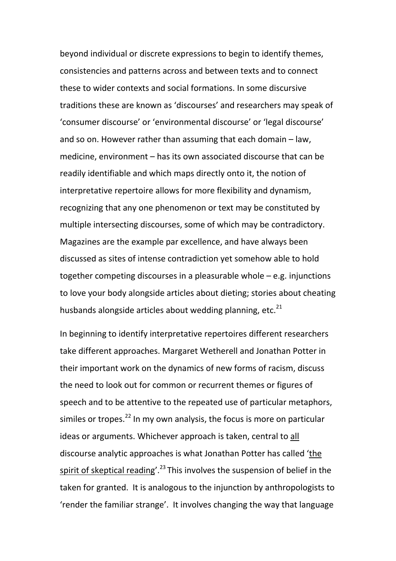beyond individual or discrete expressions to begin to identify themes, consistencies and patterns across and between texts and to connect these to wider contexts and social formations. In some discursive traditions these are known as 'discourses' and researchers may speak of 'consumer discourse' or 'environmental discourse' or 'legal discourse' and so on. However rather than assuming that each domain – law, medicine, environment – has its own associated discourse that can be readily identifiable and which maps directly onto it, the notion of interpretative repertoire allows for more flexibility and dynamism, recognizing that any one phenomenon or text may be constituted by multiple intersecting discourses, some of which may be contradictory. Magazines are the example par excellence, and have always been discussed as sites of intense contradiction yet somehow able to hold together competing discourses in a pleasurable whole – e.g. injunctions to love your body alongside articles about dieting; stories about cheating husbands alongside articles about wedding planning, etc. $^{21}$ 

In beginning to identify interpretative repertoires different researchers take different approaches. Margaret Wetherell and Jonathan Potter in their important work on the dynamics of new forms of racism, discuss the need to look out for common or recurrent themes or figures of speech and to be attentive to the repeated use of particular metaphors, similes or tropes. $^{22}$  In my own analysis, the focus is more on particular ideas or arguments. Whichever approach is taken, central to all discourse analytic approaches is what Jonathan Potter has called 'the spirit of skeptical reading'.<sup>23</sup> This involves the suspension of belief in the taken for granted. It is analogous to the injunction by anthropologists to 'render the familiar strange'. It involves changing the way that language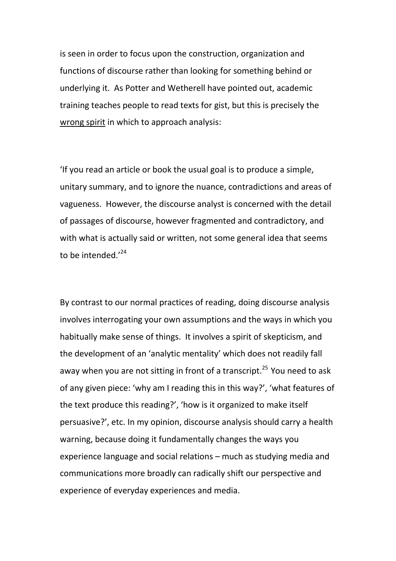is seen in order to focus upon the construction, organization and functions of discourse rather than looking for something behind or underlying it. As Potter and Wetherell have pointed out, academic training teaches people to read texts for gist, but this is precisely the wrong spirit in which to approach analysis:

'If you read an article or book the usual goal is to produce a simple, unitary summary, and to ignore the nuance, contradictions and areas of vagueness. However, the discourse analyst is concerned with the detail of passages of discourse, however fragmented and contradictory, and with what is actually said or written, not some general idea that seems to be intended.<sup>'24</sup>

By contrast to our normal practices of reading, doing discourse analysis involves interrogating your own assumptions and the ways in which you habitually make sense of things. It involves a spirit of skepticism, and the development of an 'analytic mentality' which does not readily fall away when you are not sitting in front of a transcript.<sup>25</sup> You need to ask of any given piece: 'why am I reading this in this way?', 'what features of the text produce this reading?', 'how is it organized to make itself persuasive?', etc. In my opinion, discourse analysis should carry a health warning, because doing it fundamentally changes the ways you experience language and social relations – much as studying media and communications more broadly can radically shift our perspective and experience of everyday experiences and media.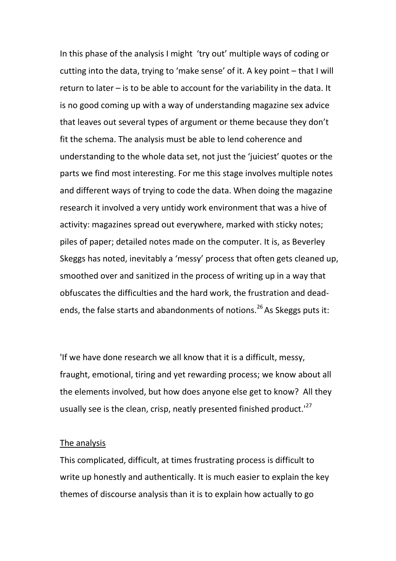In this phase of the analysis I might 'try out' multiple ways of coding or cutting into the data, trying to 'make sense' of it. A key point – that I will return to later – is to be able to account for the variability in the data. It is no good coming up with a way of understanding magazine sex advice that leaves out several types of argument or theme because they don't fit the schema. The analysis must be able to lend coherence and understanding to the whole data set, not just the 'juiciest' quotes or the parts we find most interesting. For me this stage involves multiple notes and different ways of trying to code the data. When doing the magazine research it involved a very untidy work environment that was a hive of activity: magazines spread out everywhere, marked with sticky notes; piles of paper; detailed notes made on the computer. It is, as Beverley Skeggs has noted, inevitably a 'messy' process that often gets cleaned up, smoothed over and sanitized in the process of writing up in a way that obfuscates the difficulties and the hard work, the frustration and deadends, the false starts and abandonments of notions.<sup>26</sup> As Skeggs puts it:

'If we have done research we all know that it is a difficult, messy, fraught, emotional, tiring and yet rewarding process; we know about all the elements involved, but how does anyone else get to know? All they usually see is the clean, crisp, neatly presented finished product.<sup>127</sup>

#### The analysis

This complicated, difficult, at times frustrating process is difficult to write up honestly and authentically. It is much easier to explain the key themes of discourse analysis than it is to explain how actually to go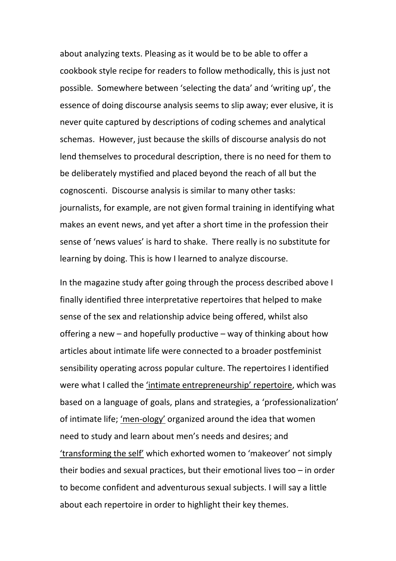about analyzing texts. Pleasing as it would be to be able to offer a cookbook style recipe for readers to follow methodically, this is just not possible. Somewhere between 'selecting the data' and 'writing up', the essence of doing discourse analysis seems to slip away; ever elusive, it is never quite captured by descriptions of coding schemes and analytical schemas. However, just because the skills of discourse analysis do not lend themselves to procedural description, there is no need for them to be deliberately mystified and placed beyond the reach of all but the cognoscenti. Discourse analysis is similar to many other tasks: journalists, for example, are not given formal training in identifying what makes an event news, and yet after a short time in the profession their sense of 'news values' is hard to shake. There really is no substitute for learning by doing. This is how I learned to analyze discourse.

In the magazine study after going through the process described above I finally identified three interpretative repertoires that helped to make sense of the sex and relationship advice being offered, whilst also offering a new – and hopefully productive – way of thinking about how articles about intimate life were connected to a broader postfeminist sensibility operating across popular culture. The repertoires I identified were what I called the 'intimate entrepreneurship' repertoire, which was based on a language of goals, plans and strategies, a 'professionalization' of intimate life; 'men-ology' organized around the idea that women need to study and learn about men's needs and desires; and 'transforming the self' which exhorted women to 'makeover' not simply their bodies and sexual practices, but their emotional lives too – in order to become confident and adventurous sexual subjects. I will say a little about each repertoire in order to highlight their key themes.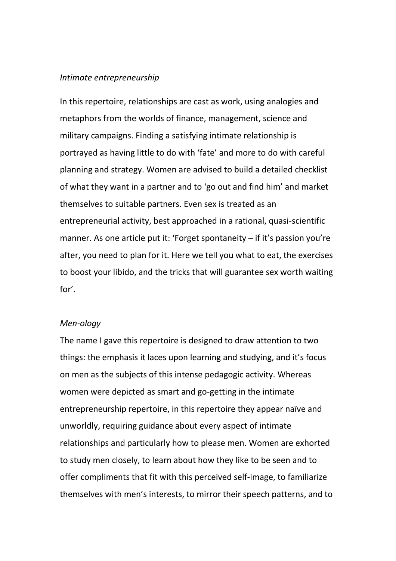#### *Intimate entrepreneurship*

In this repertoire, relationships are cast as work, using analogies and metaphors from the worlds of finance, management, science and military campaigns. Finding a satisfying intimate relationship is portrayed as having little to do with 'fate' and more to do with careful planning and strategy. Women are advised to build a detailed checklist of what they want in a partner and to 'go out and find him' and market themselves to suitable partners. Even sex is treated as an entrepreneurial activity, best approached in a rational, quasi-scientific manner. As one article put it: 'Forget spontaneity – if it's passion you're after, you need to plan for it. Here we tell you what to eat, the exercises to boost your libido, and the tricks that will guarantee sex worth waiting for'.

#### *Men-ology*

The name I gave this repertoire is designed to draw attention to two things: the emphasis it laces upon learning and studying, and it's focus on men as the subjects of this intense pedagogic activity. Whereas women were depicted as smart and go-getting in the intimate entrepreneurship repertoire, in this repertoire they appear naïve and unworldly, requiring guidance about every aspect of intimate relationships and particularly how to please men. Women are exhorted to study men closely, to learn about how they like to be seen and to offer compliments that fit with this perceived self-image, to familiarize themselves with men's interests, to mirror their speech patterns, and to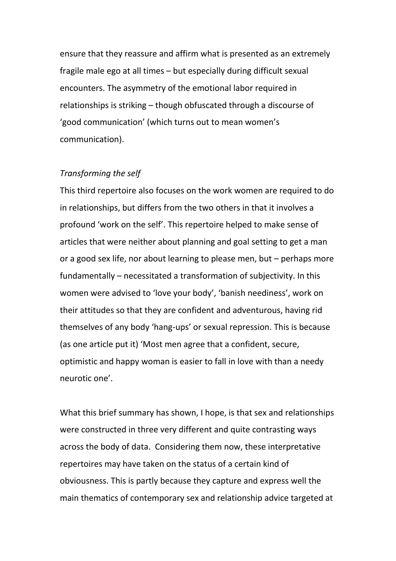ensure that they reassure and affirm what is presented as an extremely fragile male ego at all times – but especially during difficult sexual encounters. The asymmetry of the emotional labor required in relationships is striking – though obfuscated through a discourse of 'good communication' (which turns out to mean women's communication).

### *Transforming the self*

This third repertoire also focuses on the work women are required to do in relationships, but differs from the two others in that it involves a profound 'work on the self'. This repertoire helped to make sense of articles that were neither about planning and goal setting to get a man or a good sex life, nor about learning to please men, but – perhaps more fundamentally – necessitated a transformation of subjectivity. In this women were advised to 'love your body', 'banish neediness', work on their attitudes so that they are confident and adventurous, having rid themselves of any body 'hang-ups' or sexual repression. This is because (as one article put it) 'Most men agree that a confident, secure, optimistic and happy woman is easier to fall in love with than a needy neurotic one'.

What this brief summary has shown, I hope, is that sex and relationships were constructed in three very different and quite contrasting ways across the body of data. Considering them now, these interpretative repertoires may have taken on the status of a certain kind of obviousness. This is partly because they capture and express well the main thematics of contemporary sex and relationship advice targeted at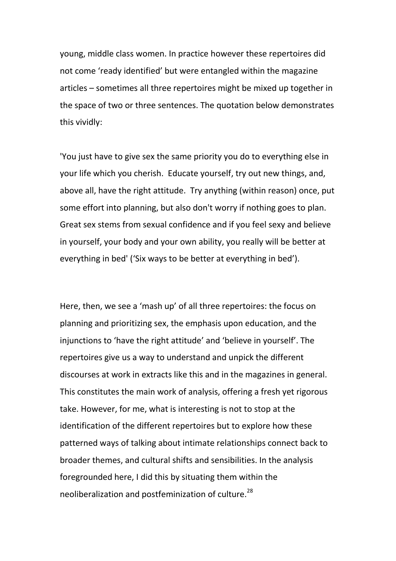young, middle class women. In practice however these repertoires did not come 'ready identified' but were entangled within the magazine articles – sometimes all three repertoires might be mixed up together in the space of two or three sentences. The quotation below demonstrates this vividly:

'You just have to give sex the same priority you do to everything else in your life which you cherish. Educate yourself, try out new things, and, above all, have the right attitude. Try anything (within reason) once, put some effort into planning, but also don't worry if nothing goes to plan. Great sex stems from sexual confidence and if you feel sexy and believe in yourself, your body and your own ability, you really will be better at everything in bed' ('Six ways to be better at everything in bed').

Here, then, we see a 'mash up' of all three repertoires: the focus on planning and prioritizing sex, the emphasis upon education, and the injunctions to 'have the right attitude' and 'believe in yourself'. The repertoires give us a way to understand and unpick the different discourses at work in extracts like this and in the magazines in general. This constitutes the main work of analysis, offering a fresh yet rigorous take. However, for me, what is interesting is not to stop at the identification of the different repertoires but to explore how these patterned ways of talking about intimate relationships connect back to broader themes, and cultural shifts and sensibilities. In the analysis foregrounded here, I did this by situating them within the neoliberalization and postfeminization of culture.<sup>28</sup>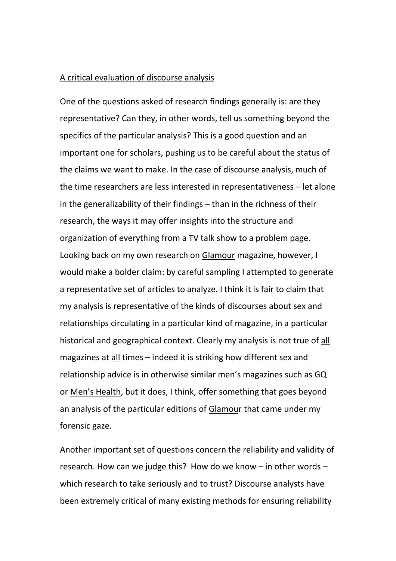#### A critical evaluation of discourse analysis

One of the questions asked of research findings generally is: are they representative? Can they, in other words, tell us something beyond the specifics of the particular analysis? This is a good question and an important one for scholars, pushing us to be careful about the status of the claims we want to make. In the case of discourse analysis, much of the time researchers are less interested in representativeness – let alone in the generalizability of their findings – than in the richness of their research, the ways it may offer insights into the structure and organization of everything from a TV talk show to a problem page. Looking back on my own research on Glamour magazine, however, I would make a bolder claim: by careful sampling I attempted to generate a representative set of articles to analyze. I think it is fair to claim that my analysis is representative of the kinds of discourses about sex and relationships circulating in a particular kind of magazine, in a particular historical and geographical context. Clearly my analysis is not true of all magazines at all times – indeed it is striking how different sex and relationship advice is in otherwise similar men's magazines such as GQ or Men's Health, but it does, I think, offer something that goes beyond an analysis of the particular editions of Glamour that came under my forensic gaze.

Another important set of questions concern the reliability and validity of research. How can we judge this? How do we know – in other words – which research to take seriously and to trust? Discourse analysts have been extremely critical of many existing methods for ensuring reliability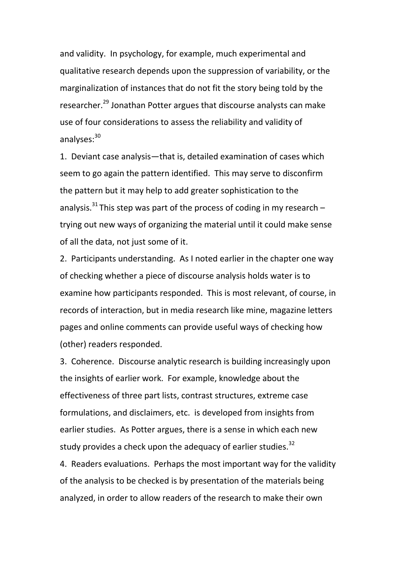and validity. In psychology, for example, much experimental and qualitative research depends upon the suppression of variability, or the marginalization of instances that do not fit the story being told by the researcher.<sup>29</sup> Jonathan Potter argues that discourse analysts can make use of four considerations to assess the reliability and validity of analyses:<sup>30</sup>

1. Deviant case analysis—that is, detailed examination of cases which seem to go again the pattern identified. This may serve to disconfirm the pattern but it may help to add greater sophistication to the analysis.<sup>31</sup> This step was part of the process of coding in my research  $$ trying out new ways of organizing the material until it could make sense of all the data, not just some of it.

2. Participants understanding. As I noted earlier in the chapter one way of checking whether a piece of discourse analysis holds water is to examine how participants responded. This is most relevant, of course, in records of interaction, but in media research like mine, magazine letters pages and online comments can provide useful ways of checking how (other) readers responded.

3. Coherence. Discourse analytic research is building increasingly upon the insights of earlier work. For example, knowledge about the effectiveness of three part lists, contrast structures, extreme case formulations, and disclaimers, etc. is developed from insights from earlier studies. As Potter argues, there is a sense in which each new study provides a check upon the adequacy of earlier studies. $32$ 

4. Readers evaluations. Perhaps the most important way for the validity of the analysis to be checked is by presentation of the materials being analyzed, in order to allow readers of the research to make their own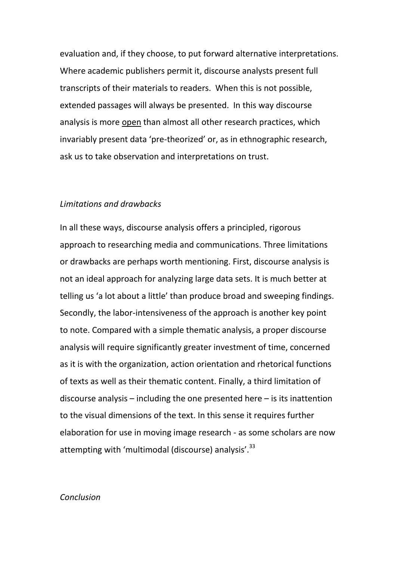evaluation and, if they choose, to put forward alternative interpretations. Where academic publishers permit it, discourse analysts present full transcripts of their materials to readers. When this is not possible, extended passages will always be presented. In this way discourse analysis is more open than almost all other research practices, which invariably present data 'pre-theorized' or, as in ethnographic research, ask us to take observation and interpretations on trust.

#### *Limitations and drawbacks*

In all these ways, discourse analysis offers a principled, rigorous approach to researching media and communications. Three limitations or drawbacks are perhaps worth mentioning. First, discourse analysis is not an ideal approach for analyzing large data sets. It is much better at telling us 'a lot about a little' than produce broad and sweeping findings. Secondly, the labor-intensiveness of the approach is another key point to note. Compared with a simple thematic analysis, a proper discourse analysis will require significantly greater investment of time, concerned as it is with the organization, action orientation and rhetorical functions of texts as well as their thematic content. Finally, a third limitation of discourse analysis – including the one presented here – is its inattention to the visual dimensions of the text. In this sense it requires further elaboration for use in moving image research - as some scholars are now attempting with 'multimodal (discourse) analysis'.<sup>33</sup>

#### *Conclusion*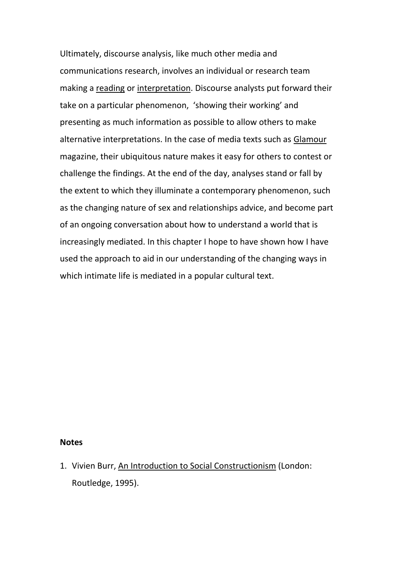Ultimately, discourse analysis, like much other media and communications research, involves an individual or research team making a reading or interpretation. Discourse analysts put forward their take on a particular phenomenon, 'showing their working' and presenting as much information as possible to allow others to make alternative interpretations. In the case of media texts such as Glamour magazine, their ubiquitous nature makes it easy for others to contest or challenge the findings. At the end of the day, analyses stand or fall by the extent to which they illuminate a contemporary phenomenon, such as the changing nature of sex and relationships advice, and become part of an ongoing conversation about how to understand a world that is increasingly mediated. In this chapter I hope to have shown how I have used the approach to aid in our understanding of the changing ways in which intimate life is mediated in a popular cultural text.

#### **Notes**

1. Vivien Burr, An Introduction to Social Constructionism (London: Routledge, 1995).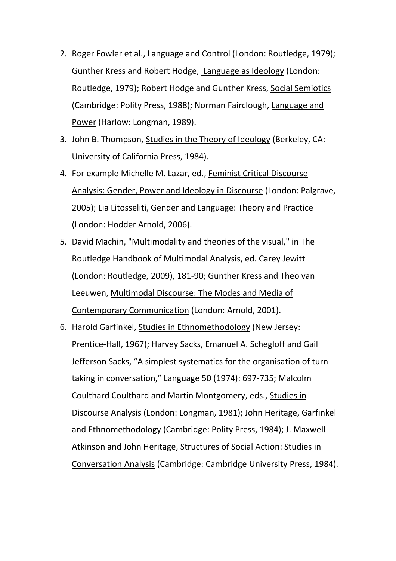- 2. Roger Fowler et al., Language and Control (London: Routledge, 1979); Gunther Kress and Robert Hodge, Language as Ideology (London: Routledge, 1979); Robert Hodge and Gunther Kress, Social Semiotics (Cambridge: Polity Press, 1988); Norman Fairclough, Language and Power (Harlow: Longman, 1989).
- 3. John B. Thompson, Studies in the Theory of Ideology (Berkeley, CA: University of California Press, 1984).
- 4. For example Michelle M. Lazar, ed., Feminist Critical Discourse Analysis: Gender, Power and Ideology in Discourse (London: Palgrave, 2005); Lia Litosseliti, Gender and Language: Theory and Practice (London: Hodder Arnold, 2006).
- 5. David Machin, "Multimodality and theories of the visual," in The Routledge Handbook of Multimodal Analysis, ed. Carey Jewitt (London: Routledge, 2009), 181-90; Gunther Kress and Theo van Leeuwen, Multimodal Discourse: The Modes and Media of Contemporary Communication (London: Arnold, 2001).
- 6. Harold Garfinkel, Studies in Ethnomethodology (New Jersey: Prentice-Hall, 1967); Harvey Sacks, Emanuel A. Schegloff and Gail Jefferson Sacks, "A simplest systematics for the organisation of turntaking in conversation," Language 50 (1974): 697-735; Malcolm Coulthard Coulthard and Martin Montgomery, eds., Studies in Discourse Analysis (London: Longman, 1981); John Heritage, Garfinkel and Ethnomethodology (Cambridge: Polity Press, 1984); J. Maxwell Atkinson and John Heritage, Structures of Social Action: Studies in Conversation Analysis (Cambridge: Cambridge University Press, 1984).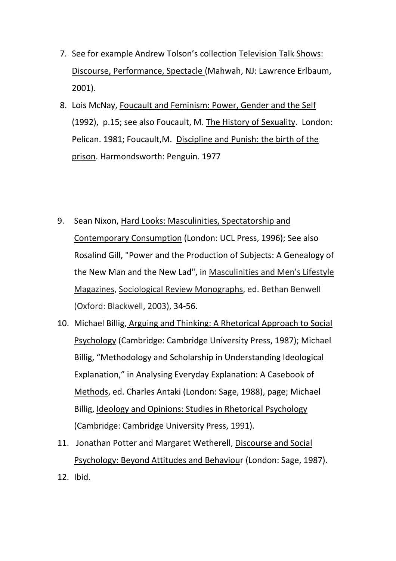- 7. See for example Andrew Tolson's collection Television Talk Shows: Discourse, Performance, Spectacle (Mahwah, NJ: Lawrence Erlbaum, 2001).
- 8. Lois McNay, Foucault and Feminism: Power, Gender and the Self (1992), p.15; see also Foucault, M. The History of Sexuality. London: Pelican. 1981; Foucault,M. Discipline and Punish: the birth of the prison. Harmondsworth: Penguin. 1977
- 9. Sean Nixon, Hard Looks: Masculinities, Spectatorship and Contemporary Consumption (London: UCL Press, 1996); See also Rosalind Gill, "Power and the Production of Subjects: A Genealogy of the New Man and the New Lad", in Masculinities and Men's Lifestyle Magazines, Sociological Review Monographs, ed. Bethan Benwell (Oxford: Blackwell, 2003), 34-56.
- 10. Michael Billig, Arguing and Thinking: A Rhetorical Approach to Social Psychology (Cambridge: Cambridge University Press, 1987); Michael Billig, "Methodology and Scholarship in Understanding Ideological Explanation," in Analysing Everyday Explanation: A Casebook of Methods, ed. Charles Antaki (London: Sage, 1988), page; Michael Billig, Ideology and Opinions: Studies in Rhetorical Psychology (Cambridge: Cambridge University Press, 1991).
- 11. Jonathan Potter and Margaret Wetherell, Discourse and Social Psychology: Beyond Attitudes and Behaviour (London: Sage, 1987).
- 12. Ibid.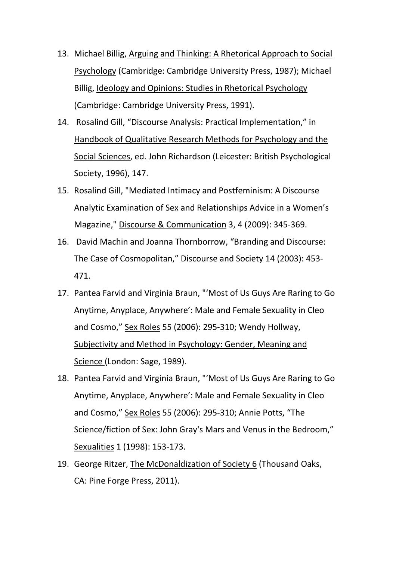- 13. Michael Billig, Arguing and Thinking: A Rhetorical Approach to Social Psychology (Cambridge: Cambridge University Press, 1987); Michael Billig, Ideology and Opinions: Studies in Rhetorical Psychology (Cambridge: Cambridge University Press, 1991).
- 14. Rosalind Gill, "Discourse Analysis: Practical Implementation," in Handbook of Qualitative Research Methods for Psychology and the Social Sciences, ed. John Richardson (Leicester: British Psychological Society, 1996), 147.
- 15. Rosalind Gill, "Mediated Intimacy and Postfeminism: A Discourse Analytic Examination of Sex and Relationships Advice in a Women's Magazine," Discourse & Communication 3, 4 (2009): 345-369.
- 16. David Machin and Joanna Thornborrow, "Branding and Discourse: The Case of Cosmopolitan," Discourse and Society 14 (2003): 453- 471.
- 17. Pantea Farvid and Virginia Braun, "'Most of Us Guys Are Raring to Go Anytime, Anyplace, Anywhere': Male and Female Sexuality in Cleo and Cosmo," Sex Roles 55 (2006): 295-310; Wendy Hollway, Subjectivity and Method in Psychology: Gender, Meaning and Science (London: Sage, 1989).
- 18. Pantea Farvid and Virginia Braun, "'Most of Us Guys Are Raring to Go Anytime, Anyplace, Anywhere': Male and Female Sexuality in Cleo and Cosmo," Sex Roles 55 (2006): 295-310; Annie Potts, "The Science/fiction of Sex: John Gray's Mars and Venus in the Bedroom," Sexualities 1 (1998): 153-173.
- 19. George Ritzer, The McDonaldization of Society 6 (Thousand Oaks, CA: Pine Forge Press, 2011).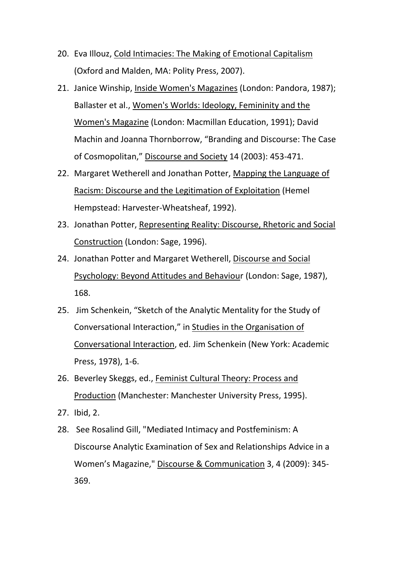- 20. Eva Illouz, Cold Intimacies: The Making of Emotional Capitalism (Oxford and Malden, MA: Polity Press, 2007).
- 21. Janice Winship, Inside Women's Magazines (London: Pandora, 1987); Ballaster et al., Women's Worlds: Ideology, Femininity and the Women's Magazine (London: Macmillan Education, 1991); David Machin and Joanna Thornborrow, "Branding and Discourse: The Case of Cosmopolitan," Discourse and Society 14 (2003): 453-471.
- 22. Margaret Wetherell and Jonathan Potter, Mapping the Language of Racism: Discourse and the Legitimation of Exploitation (Hemel Hempstead: Harvester-Wheatsheaf, 1992).
- 23. Jonathan Potter, Representing Reality: Discourse, Rhetoric and Social Construction (London: Sage, 1996).
- 24. Jonathan Potter and Margaret Wetherell, Discourse and Social Psychology: Beyond Attitudes and Behaviour (London: Sage, 1987), 168.
- 25. Jim Schenkein, "Sketch of the Analytic Mentality for the Study of Conversational Interaction," in Studies in the Organisation of Conversational Interaction, ed. Jim Schenkein (New York: Academic Press, 1978), 1-6.
- 26. Beverley Skeggs, ed., Feminist Cultural Theory: Process and Production (Manchester: Manchester University Press, 1995).
- 27. Ibid, 2.
- 28. See Rosalind Gill, "Mediated Intimacy and Postfeminism: A Discourse Analytic Examination of Sex and Relationships Advice in a Women's Magazine," Discourse & Communication 3, 4 (2009): 345- 369.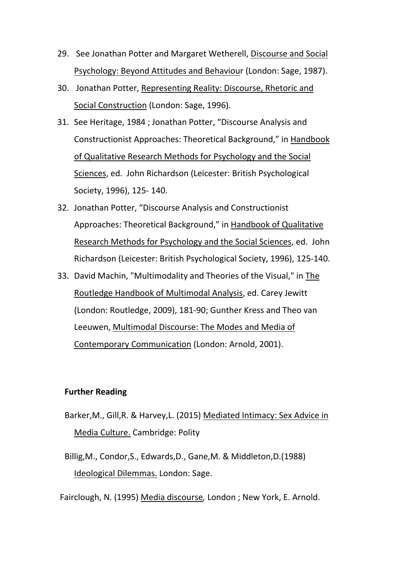- 29. See Jonathan Potter and Margaret Wetherell, Discourse and Social Psychology: Beyond Attitudes and Behaviour (London: Sage, 1987).
- 30. Jonathan Potter, Representing Reality: Discourse, Rhetoric and Social Construction (London: Sage, 1996).
- 31. See Heritage, 1984 ; Jonathan Potter, "Discourse Analysis and Constructionist Approaches: Theoretical Background," in Handbook of Qualitative Research Methods for Psychology and the Social Sciences, ed. John Richardson (Leicester: British Psychological Society, 1996), 125- 140.
- 32. Jonathan Potter, "Discourse Analysis and Constructionist Approaches: Theoretical Background," in Handbook of Qualitative Research Methods for Psychology and the Social Sciences, ed. John Richardson (Leicester: British Psychological Society, 1996), 125-140.
- 33. David Machin, "Multimodality and Theories of the Visual," in The Routledge Handbook of Multimodal Analysis, ed. Carey Jewitt (London: Routledge, 2009), 181-90; Gunther Kress and Theo van Leeuwen, Multimodal Discourse: The Modes and Media of Contemporary Communication (London: Arnold, 2001).

#### **Further Reading**

- Barker,M., Gill,R. & Harvey,L. (2015) Mediated Intimacy: Sex Advice in Media Culture. Cambridge: Polity
- Billig,M., Condor,S., Edwards,D., Gane,M. & Middleton,D.(1988) Ideological Dilemmas. London: Sage.

Fairclough, N. (1995) Media discourse*,* London ; New York, E. Arnold.